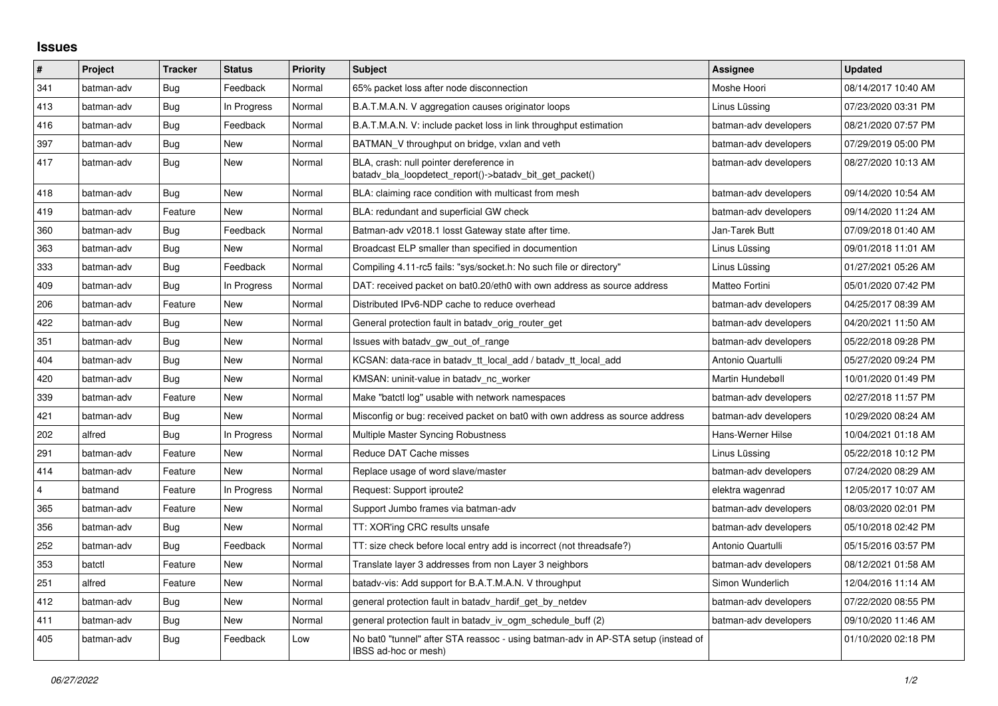## **Issues**

| #              | Project    | <b>Tracker</b> | <b>Status</b> | Priority | <b>Subject</b>                                                                                            | Assignee              | <b>Updated</b>      |
|----------------|------------|----------------|---------------|----------|-----------------------------------------------------------------------------------------------------------|-----------------------|---------------------|
| 341            | batman-adv | Bug            | Feedback      | Normal   | 65% packet loss after node disconnection                                                                  | Moshe Hoori           | 08/14/2017 10:40 AM |
| 413            | batman-adv | Bug            | In Progress   | Normal   | B.A.T.M.A.N. V aggregation causes originator loops                                                        | Linus Lüssing         | 07/23/2020 03:31 PM |
| 416            | batman-adv | Bug            | Feedback      | Normal   | B.A.T.M.A.N. V: include packet loss in link throughput estimation                                         | batman-adv developers | 08/21/2020 07:57 PM |
| 397            | batman-adv | <b>Bug</b>     | New           | Normal   | BATMAN_V throughput on bridge, vxlan and veth                                                             | batman-adv developers | 07/29/2019 05:00 PM |
| 417            | batman-adv | Bug            | New           | Normal   | BLA, crash: null pointer dereference in<br>batady bla loopdetect report()->batady bit get packet()        | batman-adv developers | 08/27/2020 10:13 AM |
| 418            | batman-adv | Bug            | New           | Normal   | BLA: claiming race condition with multicast from mesh                                                     | batman-adv developers | 09/14/2020 10:54 AM |
| 419            | batman-adv | Feature        | <b>New</b>    | Normal   | BLA: redundant and superficial GW check                                                                   | batman-adv developers | 09/14/2020 11:24 AM |
| 360            | batman-adv | Bug            | Feedback      | Normal   | Batman-adv v2018.1 losst Gateway state after time.                                                        | Jan-Tarek Butt        | 07/09/2018 01:40 AM |
| 363            | batman-adv | Bug            | <b>New</b>    | Normal   | Broadcast ELP smaller than specified in documention                                                       | Linus Lüssing         | 09/01/2018 11:01 AM |
| 333            | batman-adv | Bug            | Feedback      | Normal   | Compiling 4.11-rc5 fails: "sys/socket.h: No such file or directory"                                       | Linus Lüssing         | 01/27/2021 05:26 AM |
| 409            | batman-adv | Bug            | In Progress   | Normal   | DAT: received packet on bat0.20/eth0 with own address as source address                                   | Matteo Fortini        | 05/01/2020 07:42 PM |
| 206            | batman-adv | Feature        | New           | Normal   | Distributed IPv6-NDP cache to reduce overhead                                                             | batman-adv developers | 04/25/2017 08:39 AM |
| 422            | batman-adv | Bug            | New           | Normal   | General protection fault in batady orig router get                                                        | batman-adv developers | 04/20/2021 11:50 AM |
| 351            | batman-adv | Bug            | New           | Normal   | Issues with batady gw_out_of_range                                                                        | batman-adv developers | 05/22/2018 09:28 PM |
| 404            | batman-adv | Bug            | New           | Normal   | KCSAN: data-race in batady tt local add / batady tt local add                                             | Antonio Quartulli     | 05/27/2020 09:24 PM |
| 420            | batman-adv | Bug            | New           | Normal   | KMSAN: uninit-value in batady nc worker                                                                   | Martin Hundebøll      | 10/01/2020 01:49 PM |
| 339            | batman-adv | Feature        | New           | Normal   | Make "batctl log" usable with network namespaces                                                          | batman-adv developers | 02/27/2018 11:57 PM |
| 421            | batman-adv | <b>Bug</b>     | <b>New</b>    | Normal   | Misconfig or bug: received packet on bat0 with own address as source address                              | batman-adv developers | 10/29/2020 08:24 AM |
| 202            | alfred     | Bug            | In Progress   | Normal   | Multiple Master Syncing Robustness                                                                        | Hans-Werner Hilse     | 10/04/2021 01:18 AM |
| 291            | batman-adv | Feature        | New           | Normal   | Reduce DAT Cache misses                                                                                   | Linus Lüssing         | 05/22/2018 10:12 PM |
| 414            | batman-adv | Feature        | New           | Normal   | Replace usage of word slave/master                                                                        | batman-adv developers | 07/24/2020 08:29 AM |
| $\overline{4}$ | batmand    | Feature        | In Progress   | Normal   | Request: Support iproute2                                                                                 | elektra wagenrad      | 12/05/2017 10:07 AM |
| 365            | batman-adv | Feature        | <b>New</b>    | Normal   | Support Jumbo frames via batman-adv                                                                       | batman-adv developers | 08/03/2020 02:01 PM |
| 356            | batman-adv | Bug            | New           | Normal   | TT: XOR'ing CRC results unsafe                                                                            | batman-adv developers | 05/10/2018 02:42 PM |
| 252            | batman-adv | Bug            | Feedback      | Normal   | TT: size check before local entry add is incorrect (not threadsafe?)                                      | Antonio Quartulli     | 05/15/2016 03:57 PM |
| 353            | batctl     | Feature        | New           | Normal   | Translate layer 3 addresses from non Layer 3 neighbors                                                    | batman-adv developers | 08/12/2021 01:58 AM |
| 251            | alfred     | Feature        | <b>New</b>    | Normal   | batady-vis: Add support for B.A.T.M.A.N. V throughput                                                     | Simon Wunderlich      | 12/04/2016 11:14 AM |
| 412            | batman-adv | Bug            | New           | Normal   | general protection fault in batady hardif get by netdev                                                   | batman-adv developers | 07/22/2020 08:55 PM |
| 411            | batman-adv | Bug            | New           | Normal   | general protection fault in batady iv ogm_schedule_buff (2)                                               | batman-adv developers | 09/10/2020 11:46 AM |
| 405            | batman-adv | Bug            | Feedback      | Low      | No bat0 "tunnel" after STA reassoc - using batman-adv in AP-STA setup (instead of<br>IBSS ad-hoc or mesh) |                       | 01/10/2020 02:18 PM |